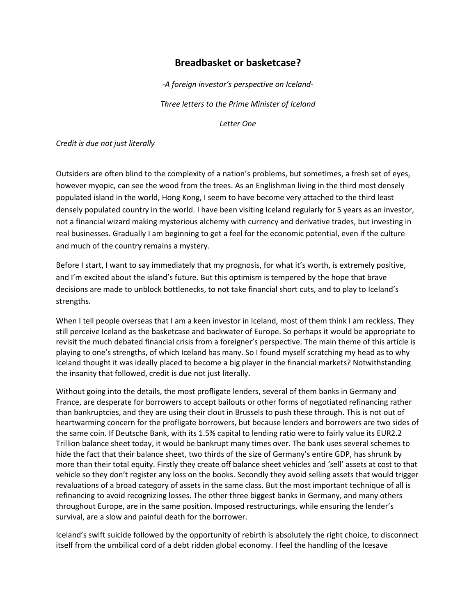# **Breadbasket or basketcase?**

*-A foreign investor's perspective on Iceland-Three letters to the Prime Minister of Iceland*

*Letter One*

*Credit is due not just literally*

Outsiders are often blind to the complexity of a nation's problems, but sometimes, a fresh set of eyes, however myopic, can see the wood from the trees. As an Englishman living in the third most densely populated island in the world, Hong Kong, I seem to have become very attached to the third least densely populated country in the world. I have been visiting Iceland regularly for 5 years as an investor, not a financial wizard making mysterious alchemy with currency and derivative trades, but investing in real businesses. Gradually I am beginning to get a feel for the economic potential, even if the culture and much of the country remains a mystery.

Before I start, I want to say immediately that my prognosis, for what it's worth, is extremely positive, and I'm excited about the island's future. But this optimism is tempered by the hope that brave decisions are made to unblock bottlenecks, to not take financial short cuts, and to play to Iceland's strengths.

When I tell people overseas that I am a keen investor in Iceland, most of them think I am reckless. They still perceive Iceland as the basketcase and backwater of Europe. So perhaps it would be appropriate to revisit the much debated financial crisis from a foreigner's perspective. The main theme of this article is playing to one's strengths, of which Iceland has many. So I found myself scratching my head as to why Iceland thought it was ideally placed to become a big player in the financial markets? Notwithstanding the insanity that followed, credit is due not just literally.

Without going into the details, the most profligate lenders, several of them banks in Germany and France, are desperate for borrowers to accept bailouts or other forms of negotiated refinancing rather than bankruptcies, and they are using their clout in Brussels to push these through. This is not out of heartwarming concern for the profligate borrowers, but because lenders and borrowers are two sides of the same coin. If Deutsche Bank, with its 1.5% capital to lending ratio were to fairly value its EUR2.2 Trillion balance sheet today, it would be bankrupt many times over. The bank uses several schemes to hide the fact that their balance sheet, two thirds of the size of Germany's entire GDP, has shrunk by more than their total equity. Firstly they create off balance sheet vehicles and 'sell' assets at cost to that vehicle so they don't register any loss on the books. Secondly they avoid selling assets that would trigger revaluations of a broad category of assets in the same class. But the most important technique of all is refinancing to avoid recognizing losses. The other three biggest banks in Germany, and many others throughout Europe, are in the same position. Imposed restructurings, while ensuring the lender's survival, are a slow and painful death for the borrower.

Iceland's swift suicide followed by the opportunity of rebirth is absolutely the right choice, to disconnect itself from the umbilical cord of a debt ridden global economy. I feel the handling of the Icesave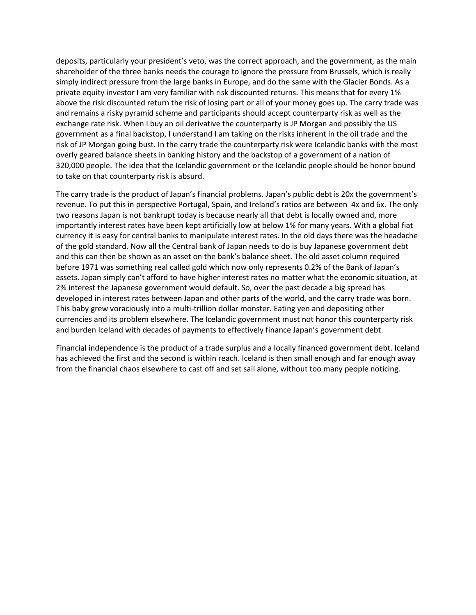deposits, particularly your president's veto, was the correct approach, and the government, as the main shareholder of the three banks needs the courage to ignore the pressure from Brussels, which is really simply indirect pressure from the large banks in Europe, and do the same with the Glacier Bonds. As a private equity investor I am very familiar with risk discounted returns. This means that for every 1% above the risk discounted return the risk of losing part or all of your money goes up. The carry trade was and remains a risky pyramid scheme and participants should accept counterparty risk as well as the exchange rate risk. When I buy an oil derivative the counterparty is JP Morgan and possibly the US government as a final backstop, I understand I am taking on the risks inherent in the oil trade and the risk of JP Morgan going bust. In the carry trade the counterparty risk were Icelandic banks with the most overly geared balance sheets in banking history and the backstop of a government of a nation of 320,000 people. The idea that the Icelandic government or the Icelandic people should be honor bound to take on that counterparty risk is absurd.

The carry trade is the product of Japan's financial problems. Japan's public debt is 20x the government's revenue. To put this in perspective Portugal, Spain, and Ireland's ratios are between 4x and 6x. The only two reasons Japan is not bankrupt today is because nearly all that debt is locally owned and, more importantly interest rates have been kept artificially low at below 1% for many years. With a global fiat currency it is easy for central banks to manipulate interest rates. In the old days there was the headache of the gold standard. Now all the Central bank of Japan needs to do is buy Japanese government debt and this can then be shown as an asset on the bank's balance sheet. The old asset column required before 1971 was something real called gold which now only represents 0.2% of the Bank of Japan's assets. Japan simply can't afford to have higher interest rates no matter what the economic situation, at 2% interest the Japanese government would default. So, over the past decade a big spread has developed in interest rates between Japan and other parts of the world, and the carry trade was born. This baby grew voraciously into a multi-trillion dollar monster. Eating yen and depositing other currencies and its problem elsewhere. The Icelandic government must not honor this counterparty risk and burden Iceland with decades of payments to effectively finance Japan's government debt.

Financial independence is the product of a trade surplus and a locally financed government debt. Iceland has achieved the first and the second is within reach. Iceland is then small enough and far enough away from the financial chaos elsewhere to cast off and set sail alone, without too many people noticing.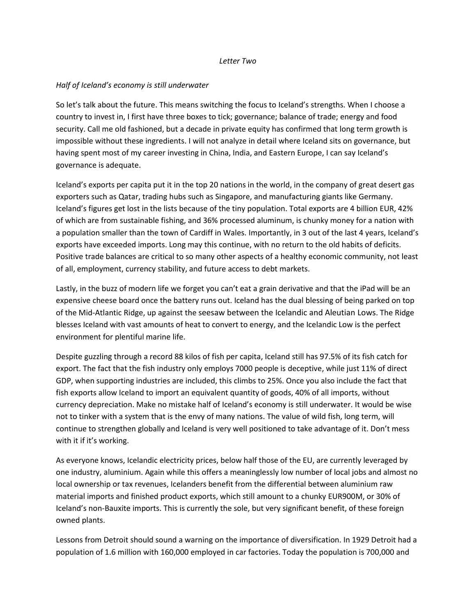### *Letter Two*

## *Half of Iceland's economy is still underwater*

So let's talk about the future. This means switching the focus to Iceland's strengths. When I choose a country to invest in, I first have three boxes to tick; governance; balance of trade; energy and food security. Call me old fashioned, but a decade in private equity has confirmed that long term growth is impossible without these ingredients. I will not analyze in detail where Iceland sits on governance, but having spent most of my career investing in China, India, and Eastern Europe, I can say Iceland's governance is adequate.

Iceland's exports per capita put it in the top 20 nations in the world, in the company of great desert gas exporters such as Qatar, trading hubs such as Singapore, and manufacturing giants like Germany. Iceland's figures get lost in the lists because of the tiny population. Total exports are 4 billion EUR, 42% of which are from sustainable fishing, and 36% processed aluminum, is chunky money for a nation with a population smaller than the town of Cardiff in Wales. Importantly, in 3 out of the last 4 years, Iceland's exports have exceeded imports. Long may this continue, with no return to the old habits of deficits. Positive trade balances are critical to so many other aspects of a healthy economic community, not least of all, employment, currency stability, and future access to debt markets.

Lastly, in the buzz of modern life we forget you can't eat a grain derivative and that the iPad will be an expensive cheese board once the battery runs out. Iceland has the dual blessing of being parked on top of the Mid-Atlantic Ridge, up against the seesaw between the Icelandic and Aleutian Lows. The Ridge blesses Iceland with vast amounts of heat to convert to energy, and the Icelandic Low is the perfect environment for plentiful marine life.

Despite guzzling through a record 88 kilos of fish per capita, Iceland still has 97.5% of its fish catch for export. The fact that the fish industry only employs 7000 people is deceptive, while just 11% of direct GDP, when supporting industries are included, this climbs to 25%. Once you also include the fact that fish exports allow Iceland to import an equivalent quantity of goods, 40% of all imports, without currency depreciation. Make no mistake half of Iceland's economy is still underwater. It would be wise not to tinker with a system that is the envy of many nations. The value of wild fish, long term, will continue to strengthen globally and Iceland is very well positioned to take advantage of it. Don't mess with it if it's working.

As everyone knows, Icelandic electricity prices, below half those of the EU, are currently leveraged by one industry, aluminium. Again while this offers a meaninglessly low number of local jobs and almost no local ownership or tax revenues, Icelanders benefit from the differential between aluminium raw material imports and finished product exports, which still amount to a chunky EUR900M, or 30% of Iceland's non-Bauxite imports. This is currently the sole, but very significant benefit, of these foreign owned plants.

Lessons from Detroit should sound a warning on the importance of diversification. In 1929 Detroit had a population of 1.6 million with 160,000 employed in car factories. Today the population is 700,000 and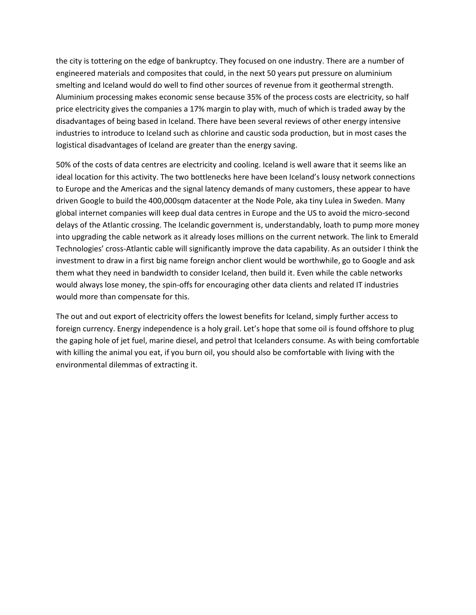the city is tottering on the edge of bankruptcy. They focused on one industry. There are a number of engineered materials and composites that could, in the next 50 years put pressure on aluminium smelting and Iceland would do well to find other sources of revenue from it geothermal strength. Aluminium processing makes economic sense because 35% of the process costs are electricity, so half price electricity gives the companies a 17% margin to play with, much of which is traded away by the disadvantages of being based in Iceland. There have been several reviews of other energy intensive industries to introduce to Iceland such as chlorine and caustic soda production, but in most cases the logistical disadvantages of Iceland are greater than the energy saving.

50% of the costs of data centres are electricity and cooling. Iceland is well aware that it seems like an ideal location for this activity. The two bottlenecks here have been Iceland's lousy network connections to Europe and the Americas and the signal latency demands of many customers, these appear to have driven Google to build the 400,000sqm datacenter at the Node Pole, aka tiny Lulea in Sweden. Many global internet companies will keep dual data centres in Europe and the US to avoid the micro-second delays of the Atlantic crossing. The Icelandic government is, understandably, loath to pump more money into upgrading the cable network as it already loses millions on the current network. The link to Emerald Technologies' cross-Atlantic cable will significantly improve the data capability. As an outsider I think the investment to draw in a first big name foreign anchor client would be worthwhile, go to Google and ask them what they need in bandwidth to consider Iceland, then build it. Even while the cable networks would always lose money, the spin-offs for encouraging other data clients and related IT industries would more than compensate for this.

The out and out export of electricity offers the lowest benefits for Iceland, simply further access to foreign currency. Energy independence is a holy grail. Let's hope that some oil is found offshore to plug the gaping hole of jet fuel, marine diesel, and petrol that Icelanders consume. As with being comfortable with killing the animal you eat, if you burn oil, you should also be comfortable with living with the environmental dilemmas of extracting it.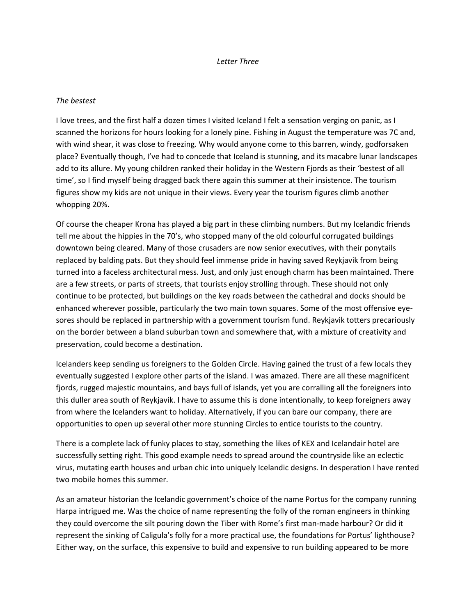#### *Letter Three*

### *The bestest*

I love trees, and the first half a dozen times I visited Iceland I felt a sensation verging on panic, as I scanned the horizons for hours looking for a lonely pine. Fishing in August the temperature was 7C and, with wind shear, it was close to freezing. Why would anyone come to this barren, windy, godforsaken place? Eventually though, I've had to concede that Iceland is stunning, and its macabre lunar landscapes add to its allure. My young children ranked their holiday in the Western Fjords as their 'bestest of all time', so I find myself being dragged back there again this summer at their insistence. The tourism figures show my kids are not unique in their views. Every year the tourism figures climb another whopping 20%.

Of course the cheaper Krona has played a big part in these climbing numbers. But my Icelandic friends tell me about the hippies in the 70's, who stopped many of the old colourful corrugated buildings downtown being cleared. Many of those crusaders are now senior executives, with their ponytails replaced by balding pats. But they should feel immense pride in having saved Reykjavik from being turned into a faceless architectural mess. Just, and only just enough charm has been maintained. There are a few streets, or parts of streets, that tourists enjoy strolling through. These should not only continue to be protected, but buildings on the key roads between the cathedral and docks should be enhanced wherever possible, particularly the two main town squares. Some of the most offensive eyesores should be replaced in partnership with a government tourism fund. Reykjavik totters precariously on the border between a bland suburban town and somewhere that, with a mixture of creativity and preservation, could become a destination.

Icelanders keep sending us foreigners to the Golden Circle. Having gained the trust of a few locals they eventually suggested I explore other parts of the island. I was amazed. There are all these magnificent fjords, rugged majestic mountains, and bays full of islands, yet you are corralling all the foreigners into this duller area south of Reykjavik. I have to assume this is done intentionally, to keep foreigners away from where the Icelanders want to holiday. Alternatively, if you can bare our company, there are opportunities to open up several other more stunning Circles to entice tourists to the country.

There is a complete lack of funky places to stay, something the likes of KEX and Icelandair hotel are successfully setting right. This good example needs to spread around the countryside like an eclectic virus, mutating earth houses and urban chic into uniquely Icelandic designs. In desperation I have rented two mobile homes this summer.

As an amateur historian the Icelandic government's choice of the name Portus for the company running Harpa intrigued me. Was the choice of name representing the folly of the roman engineers in thinking they could overcome the silt pouring down the Tiber with Rome's first man-made harbour? Or did it represent the sinking of Caligula's folly for a more practical use, the foundations for Portus' lighthouse? Either way, on the surface, this expensive to build and expensive to run building appeared to be more